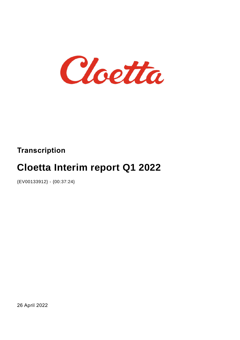

## **Transcription**

# **Cloetta Interim report Q1 2022**

{EV00133912} - {00:37:24}

26 April 2022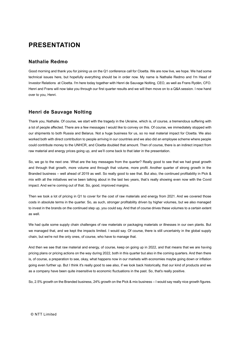## **PRESENTATION**

#### **Nathalie Redmo**

Good morning and thank you for joining us on the Q1 conference call for Cloetta. We are now live, we hope. We had some technical issues here, but hopefully everything should be in order now. My name is Nathalie Redmo and I'm Head of Investor Relations at Cloetta. I'm here today together with Henri de Sauvage Nolting, CEO, as well as Frans Rydén, CFO. Henri and Frans will now take you through our first quarter results and we will then move on to a Q&A session. I now hand over to you, Henri.

#### **Henri de Sauvage Nolting**

Thank you, Nathalie. Of course, we start with the tragedy in the Ukraine, which is, of course, a tremendous suffering with a lot of people affected. There are a few messages I would like to convey on this. Of course, we immediately stopped with our shipments to both Russia and Belarus. Not a huge business for us, so no real material impact for Cloetta. We also worked both with direct contribution to people arriving in our countries and we also did an employee scheme where people could contribute money to the UNHCR, and Cloetta doubled that amount. Then of course, there is an indirect impact from raw material and energy prices going up, and we'll come back to that later in the presentation.

So, we go to the next one. What are the key messages from the quarter? Really good to see that we had great growth and through that growth, more volume and through that volume, more profit. Another quarter of strong growth in the Branded business – well ahead of 2019 as well. So really good to see that. But also, the continued profitability in Pick & mix with all the initiatives we've been talking about in the last two years, that's really showing even now with the Covid impact. And we're coming out of that. So, good, improved margins.

Then we took a lot of pricing in Q1 to cover for the cost of raw materials and energy from 2021. And we covered those costs in absolute terms in the quarter. So, as such, stronger profitability driven by higher volumes, but we also managed to invest in the brands on the continued step up, you could say. And that of course drives these volumes to a certain extent as well.

We had quite some supply chain challenges of raw materials or packaging materials or illnesses in our own plants. But we managed that, and we kept the impacts limited. I would say. Of course, there is still uncertainty in the global supply chain, but we're not the only ones, of course, who have to manage that.

And then we see that raw material and energy, of course, keep on going up in 2022, and that means that we are having pricing plans or pricing actions on the way during 2022, both in this quarter but also in the coming quarters. And then there is, of course, a preparation to see, okay, what happens now in our markets with economies maybe going down or inflation going even further up. But I think it's really good to see also, if we look back historically, that our kind of products and we as a company have been quite insensitive to economic fluctuations in the past. So, that's really positive.

So, 2.5% growth on the Branded business, 24% growth on the Pick & mix business – I would say really nice growth figures.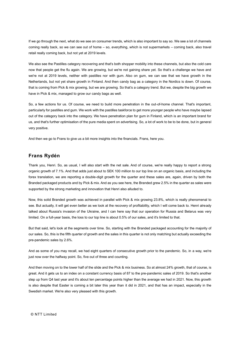If we go through the next, what do we see on consumer trends, which is also important to say so. We see a lot of channels coming really back, so we can see out of home – so, everything, which is not supermarkets – coming back, also travel retail really coming back, but not yet at 2019 levels.

We also see the Pastilles category recovering and that's both shopper mobility into these channels, but also the cold care now that people get the flu again. We are growing, but we're not gaining share yet. So that's a challenge we have and we're not at 2019 levels, neither with pastilles nor with gum. Also on gum, we can see that we have growth in the Netherlands, but not yet share growth in Finland. And then candy bag as a category in the Nordics is down. Of course, that is coming from Pick & mix growing, but we are growing. So that's a category trend. But we, despite the big growth we have in Pick & mix, managed to grow our candy bags as well.

So, a few actions for us. Of course, we need to build more penetration in the out-of-home channel. That's important, particularly for pastilles and gum. We work with the pastilles taskforce to get more younger people who have maybe lapsed out of the category back into the category. We have penetration plan for gum in Finland, which is an important brand for us, and that's further optimisation of the pure media spent on advertising. So, a lot of work to be to be done, but in general very positive.

And then we go to Frans to give us a bit more insights into the financials. Frans, here you.

#### **Frans Rydén**

Thank you, Henri. So, as usual, I will also start with the net sale. And of course, we're really happy to report a strong organic growth of 7.1%. And that adds just about to SEK 100 million to our top line on an organic basis, and including the forex translation, we are reporting a double-digit growth for the quarter and these sales are, again, driven by both the Branded packaged products and by Pick & mix. And as you see here, the Branded grew 2.5% in the quarter as sales were supported by the strong marketing and innovation that Henri also alluded to.

Now, this solid Branded growth was achieved in parallel with Pick & mix growing 23.8%, which is really phenomenal to see. But actually, it will get even better as we look at the recovery of profitability, which I will come back to. Henri already talked about Russia's invasion of the Ukraine, and I can here say that our operation for Russia and Belarus was very limited. On a full-year basis, the loss to our top line is about 0.5% of our sales, and it's limited to that.

But that said, let's look at the segments over time. So, starting with the Branded packaged accounting for the majority of our sales. So, this is the fifth quarter of growth and the sales in this quarter is not only matching but actually exceeding the pre-pandemic sales by 2.6%.

And as some of you may recall, we had eight quarters of consecutive growth prior to the pandemic. So, in a way, we're just now over the halfway point. So, five out of three and counting.

And then moving on to the lower half of the slide and the Pick & mix business. So at almost 24% growth, that of course, is great. And it gets us to an index on a constant currency basis of 87 to the pre-pandemic sales of 2019. So that's another step up from Q4 last year and it's about ten percentage points higher than the average we had in 2021. Now, this growth is also despite that Easter is coming a bit later this year than it did in 2021, and that has an impact, especially in the Swedish market. We're also very pleased with this growth.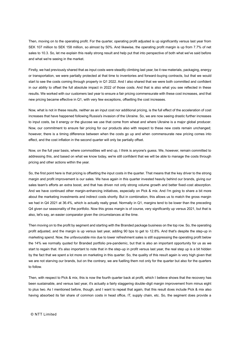Then, moving on to the operating profit. For the quarter, operating profit adjusted is up significantly versus last year from SEK 107 million to SEK 158 million, so almost by 50%. And likewise, the operating profit margin is up from 7.7% of net sales to 10.3. So, let me explain this really strong result and help put that into perspective of both what we've said before and what we're seeing in the market.

Firstly, we had previously shared that as input costs were steadily climbing last year, be it raw materials, packaging, energy or transportation, we were partially protected at that time to inventories and forward-buying contracts, but that we would start to see the costs coming through properly in Q1 2022. And I also shared that we were both committed and confident in our ability to offset the full absolute impact in 2022 of those costs. And that is also what you see reflected in these results. We worked with our customers last year to ensure a fair pricing commensurate with these cost increases, and that new pricing became effective in Q1, with very few exceptions, offsetting the cost increases.

Now, what is not in these results, neither as an input cost nor additional pricing, is the full effect of the acceleration of cost increases that have happened following Russia's invasion of the Ukraine. So, we are now seeing drastic further increases to input costs, be it energy or the glucose we use that come from wheat and where Ukraine is a major global producer. Now, our commitment to ensure fair pricing for our products also with respect to these new costs remain unchanged; however, there is a timing difference between when the costs go up and when commensurate new pricing comes into effect, and the cost inflation in the second quarter will only be partially offset.

Now, on the full year basis, where commodities will end up, I think is anyone's guess. We, however, remain committed to addressing this, and based on what we know today, we're still confident that we will be able to manage the costs through pricing and other actions within the year.

So, the first point here is that pricing is offsetting the input costs in the quarter. That means that the key driver to the strong margin and profit improvement is our sales. We have again in this quarter invested heavily behind our brands, giving our sales team's efforts an extra boost, and that has driven not only strong volume growth and better fixed-cost absorption. And we have continued other margin-enhancing initiatives, especially on Pick & mix. And I'm going to share a bit more about the marketing investments and indirect costs shortly. But in combination, this allows us to match the gross margin we had in Q4 2021 at 36.4%, which is actually really great. Normally in Q1, margins tend to be lower than the preceding Q4 given our seasonality of the portfolio. Now this gross margin is of course, very significantly up versus 2021, but that is also, let's say, an easier comparator given the circumstances at the time.

Then moving on to the profit by segment and starting with the Branded package business on the top row. So, the operating profit adjusted, and the margin is up versus last year, adding 90 bps to get to 12.8%. And that's despite the step-up in marketing spend. Now, the unfavourable mix due to lower refreshment sales is still suppressing the operating profit below the 14% we normally quoted for Branded portfolio pre-pandemic, but that is also an important opportunity for us as we start to regain that. It's also important to note that in the step-up in profit versus last year, the real step up is a bit hidden by the fact that we spent a lot more on marketing in this quarter. So, the quality of this result again is very high given that we are not starving our brands, but on the contrary, we are fuelling them not only for the quarter but also for the quarters to follow.

Then, with respect to Pick & mix, this is now the fourth quarter back at profit, which I believe shows that the recovery has been sustainable, and versus last year, it's actually a fairly staggering double-digit margin improvement from minus eight to plus two. As I mentioned before, though, and I want to repeat that again, that this result does include Pick & mix also having absorbed its fair share of common costs in head office, IT, supply chain, etc. So, the segment does provide a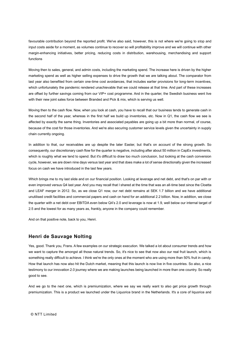favourable contribution beyond the reported profit. We've also said, however, this is not where we're going to stop and input costs aside for a moment, as volumes continue to recover so will profitability improve and we will continue with other margin-enhancing initiatives, better pricing, reducing costs in distribution, warehousing, merchandising and support functions

Moving then to sales, general, and admin costs, including the marketing spend. The increase here is driven by the higher marketing spend as well as higher selling expenses to drive the growth that we are talking about. The comparator from last year also benefited from certain one-time cost avoidances, that includes earlier provisions for long-term incentives, which unfortunately the pandemic rendered unachievable that we could release at that time. And part of these increases are offset by further savings coming from our VIP+ cost programme. And in the quarter, the Swedish business went live with their new joint sales force between Branded and Pick & mix, which is serving us well.

Moving then to the cash flow. Now, when you look at cash, you have to recall that our business tends to generate cash in the second half of the year, whereas in the first half we build up inventories, etc. Now in Q1, the cash flow we see is affected by exactly the same thing. Inventories and associated payables are going up a bit more than normal, of course, because of the cost for those inventories. And we're also securing customer service levels given the uncertainty in supply chain currently ongoing.

In addition to that, our receivables are up despite the later Easter, but that's on account of the strong growth. So consequently, our discretionary cash flow for the quarter is negative, including after about 50 million in CapEx investments, which is roughly what we tend to spend. But it's difficult to draw too much conclusion, but looking at the cash conversion cycle, however, we are down nine days versus last year and that does make a lot of sense directionally given the increased focus on cash we have introduced in the last few years.

Which brings me to my last slide and on our financial position. Looking at leverage and net debt, and that's on par with or even improved versus Q4 last year. And you may recall that I shared at the time that was an all-time best since the Cloetta and LEAF merger in 2012. So, as we close Q1 now, our net debt remains at SEK 1.7 billion and we have additional unutilised credit facilities and commercial papers and cash on hand for an additional 2.2 billion. Now, in addition, we close the quarter with a net debt over EBITDA even below Q4's 2.0 and leverage is now at 1.9, well below our internal target of 2.5 and the lowest for as many years as, frankly, anyone in the company could remember.

And on that positive note, back to you, Henri.

#### **Henri de Sauvage Nolting**

Yes, good. Thank you, Frans. A few examples on our strategic execution. We talked a lot about consumer trends and how we want to capture the amongst all those natural trends. So, it's nice to see that now also our real fruit launch, which is something really difficult to achieve. I think we're the only ones at the moment who are using more than 50% fruit in candy. How that launch has now also hit the Dutch market, meaning that this launch is now live in five countries. So also, a nice testimony to our innovation 2.0 journey where we are making launches being launched in more than one country. So really good to see.

And we go to the next one, which is premiumization, where we say we really want to also get price growth through premiumization. This is a product we launched under the Liquorice brand in the Netherlands. It's a core of liquorice and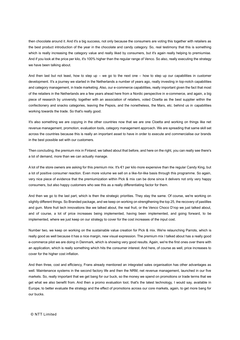then chocolate around it. And it's a big success, not only because the consumers are voting this together with retailers as the best product introduction of the year in the chocolate and candy category. So, real testimony that this is something which is really increasing the category value and really liked by consumers, but it's again really helping to premiumise. And if you look at the price per kilo, it's 100% higher than the regular range of Venco. So also, really executing the strategy we have been talking about.

And then last but not least, how to step up – we go to the next one – how to step up our capabilities in customer development. It's a journey we started in the Netherlands a number of years ago, really investing in top-notch capabilities and category management, in trade marketing. Also, our e-commerce capabilities, really important given the fact that most of the retailers in the Netherlands are a few years ahead here from a Nordic perspective in e-commerce, and again, a big piece of research by university, together with an association of retailers, voted Cloetta as the best supplier within the confectionery and snacks categories, leaving the Pepsis, and the nonetheless, the Mars, etc. behind us in capabilities working towards the trade. So that's really good.

It's also something we are copying in the other countries now that we are one Cloetta and working on things like net revenue management, promotion, evaluation tools, category management approach. We are spreading that same skill set across the countries because this is really an important asset to have in order to execute and commercialise our brands in the best possible set with our customers.

Then concluding, the premium mix in Finland; we talked about that before, and here on the right, you can really see there's a lot of demand, more than we can actually manage.

A lot of the store owners are asking for this premium mix. It's €1 per kilo more expensive than the regular Candy King, but a lot of positive consumer reaction. Even more volume we sell on a like-for-like basis through this programme. So again, very nice piece of evidence that the premiumization within Pick & mix can be done since it delivers not only very happy consumers, but also happy customers who see this as a really differentiating factor for them.

And then we go to the last part, which is then the strategic priorities. They stay the same. Of course, we're working on slightly different things. So Branded package, and we keep on working on strengthening the top 25, the recovery of pastilles and gum. More fruit tech innovations like we talked about, the real fruit, or the Venco Choco D'rop we just talked about, and of course, a lot of price increases being implemented, having been implemented, and going forward, to be implemented, where we just keep on our strategy to cover for the cost increases of the input cost.

Number two, we keep on working on the sustainable value creation for Pick & mix. We're relaunching Parrots, which is really good as well because it has a nice margin, new visual expression. The premium mix I talked about has a really good e-commerce pilot we are doing in Denmark, which is showing very good results. Again, we're the first ones over there with an application, which is really something which hits the consumer interest. And here, of course as well, price increases to cover for the higher cost inflation.

And then three, cost and efficiency, Frans already mentioned an integrated sales organisation has other advantages as well. Maintenance systems in the second factory life and then the NRM, net revenue management, launched in our five markets. So, really important that we get bang for our buck, so the money we spend on promotions or trade terms that we get what we also benefit from. And then a promo evaluation tool, that's the latest technology, I would say, available in Europe, to better evaluate the strategy and the effect of promotions across our core markets, again, to get more bang for our bucks.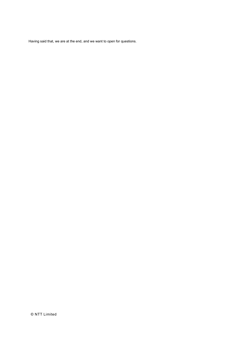Having said that, we are at the end, and we want to open for questions.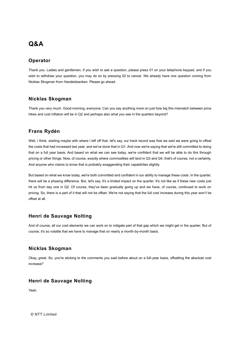### **Q&A**

#### **Operator**

Thank you. Ladies and gentlemen, if you wish to ask a question, please press 01 on your telephone keypad, and if you wish to withdraw your question, you may do so by pressing 02 to cancel. We already have one question coming from Nicklas Skogman from Handelsbanken. Please go ahead.

#### **Nicklas Skogman**

Thank you very much. Good morning, everyone. Can you say anything more on just how big this mismatch between price hikes and cost inflation will be in Q2 and perhaps also what you see in the quarters beyond?

#### **Frans Rydén**

Well, I think, starting maybe with where I left off that, let's say, our track record was that we said we were going to offset the costs that had increased last year, and we've done that in Q1. And now we're saying that we're still committed to doing that on a full year basis. And based on what we can see today, we're confident that we will be able to do this through pricing or other things. Now, of course, exactly where commodities will land in Q3 and Q4, that's of course, not a certainty. And anyone who claims to know that is probably exaggerating their capabilities slightly.

But based on what we know today, we're both committed and confident in our ability to manage these costs. In the quarter, there will be a phasing difference. But, let's say, it's a limited impact on the quarter. It's not like as if these new costs just hit us from day one in Q2. Of course, they've been gradually going up and we have, of course, continued to work on pricing. So, there is a part of it that will not be offset. We're not saying that the full cost increase during this year won't be offset at all.

#### **Henri de Sauvage Nolting**

And of course, all our cost elements we can work on to mitigate part of that gap which we might get in the quarter. But of course, it's so volatile that we have to manage that on nearly a month-by-month basis.

#### **Nicklas Skogman**

Okay, great. So, you're sticking to the comments you said before about on a full-year basis, offsetting the absolute cost increase?

#### **Henri de Sauvage Nolting**

Yeah.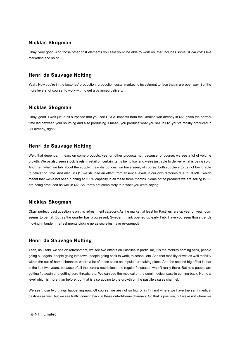#### **Nicklas Skogman**

Okay, very good. And those other cost elements you said you'd be able to work on, that includes some SG&A costs like marketing and so on.

#### **Henri de Sauvage Nolting**

Yeah. Now you're in the factories' production, production costs, marketing investment to face that in a proper way. So, the more levers, of course, to work with to get a balanced delivery.

#### **Nicklas Skogman**

Okay, good. I was just a bit surprised that you see COGS impacts from the Ukraine war already in Q2, given the normal time lag between your sourcing and also producing. I mean, you produce what you sell in Q2, you've mostly produced in Q1 already, right?

#### **Henri de Sauvage Nolting**

Well, that depends. I mean, on some products, yes, on other products not, because, of course, we see a lot of volume growth. We've also seen stock levels in retail on certain items being low and we're just able to deliver what is being sold. And then when we talk about the supply chain disruptions, we have seen, of course, both suppliers to us not being able to deliver on time. And also, in Q1, we still had an effect from absence levels in our own factories due to COVID, which meant that we've not been running at 100% capacity in all these three months. Some of the products we are selling in Q2 are being produced as well in Q2. So, that's not completely true what you were saying.

#### **Nicklas Skogman**

Okay, perfect. Last question is on this refreshment category. As the market, at least for Pastilles, are up year on year, gum seems to be flat. But as the quarter has progressed, Sweden I think opened up early Feb. Have you seen those trends moving in tandem, refreshments picking up as societies have re-opened?

#### **Henri de Sauvage Nolting**

Yeah, as I said, we see on refreshment, we see two effects on Pastilles in particular, it is the mobility coming back, people going out again, people going into town, people going back to work, to school, etc. And that mobility drives as well mobility within the out-of-home channels, where a lot of these sales on impulse are taking place. And the second big effect is that in the last two years, because of all the corona restrictions, the regular flu season wasn't really there. But now people are getting flu again and getting sore throats, etc. We can see the medical or the semi medical pastille coming back. Not to a level which is more than before, but that is also adding to the growth on the pastille's sales channel.

We see those two things happening now. Of course, we are not so big, or in Finland where we have the semi medical pastilles as well, but we see traffic coming back in these out-of-home channels. So that is positive, but we're not where we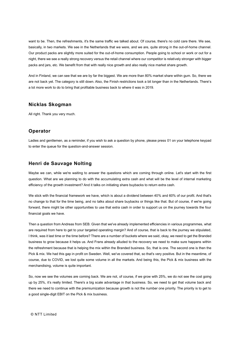want to be. Then, the refreshments, it's the same traffic we talked about. Of course, there's no cold care there. We see, basically, in two markets. We see in the Netherlands that we were, and we are, quite strong in the out-of-home channel. Our product packs are slightly more suited for the out-of-home consumption. People going to school or work or out for a night, there we see a really strong recovery versus the retail channel where our competitor is relatively stronger with bigger packs and jars, etc. We benefit from that with really nice growth and also really nice market share growth.

And in Finland, we can see that we are by far the biggest. We are more than 80% market share within gum. So, there we are not back yet. The category is still down. Also, the Finish restrictions took a bit longer than in the Netherlands. There's a lot more work to do to bring that profitable business back to where it was in 2019.

#### **Nicklas Skogman**

All right. Thank you very much.

#### **Operator**

Ladies and gentlemen, as a reminder, if you wish to ask a question by phone, please press 01 on your telephone keypad to enter the queue for the question-and-answer session.

#### **Henri de Sauvage Nolting**

Maybe we can, while we're waiting to answer the questions which are coming through online. Let's start with the first question. What are we planning to do with the accumulating extra cash and what will be the level of internal marketing efficiency of the growth investment? And it talks on initiating share buybacks to return extra cash.

We stick with the financial framework we have, which is about a dividend between 40% and 60% of our profit. And that's no change to that for the time being, and no talks about share buybacks or things like that. But of course, if we're going forward, there might be other opportunities to use that extra cash in order to support us on the journey towards the four financial goals we have.

Then a question from Andreas from SEB. Given that we've already implemented efficiencies in various programmes, what are required from here to get to your targeted operating margin? And of course, that is back to the journey we stipulated, I think, was it last time or the time before? There are a number of buckets where we said, okay, we need to get the Branded business to grow because it helps us. And Frans already alluded to the recovery we need to make sure happens within the refreshment because that is helping the mix within the Branded business. So, that is one. The second one is then the Pick & mix. We had this gap in profit on Sweden. Well, we've covered that, so that's very positive. But in the meantime, of course, due to COVID, we lost quite some volume in all the markets. And being this, the Pick & mix business with the merchandising, volume is quite important.

So, now we see the volumes are coming back. We are not, of course, if we grow with 25%, we do not see the cost going up by 25%, it's really limited. There's a big scale advantage in that business. So, we need to get that volume back and there we need to continue with the premiumization because growth is not the number one priority. The priority is to get to a good single-digit EBIT on the Pick & mix business.